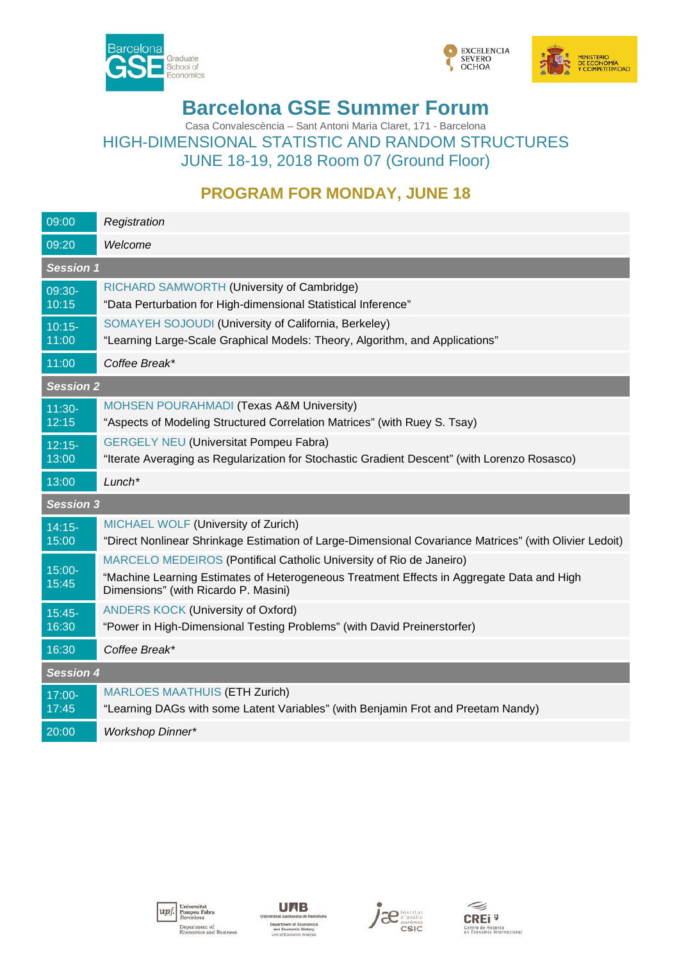





# **Barcelona GSE Summer Forum**

Casa Convalescència – Sant Antoni Maria Claret, 171 - Barcelona HIGH-DIMENSIONAL STATISTIC AND RANDOM STRUCTURES JUNE 18-19, 2018 Room 07 (Ground Floor)

## **PROGRAM FOR MONDAY, JUNE 18**

| 09:00              | Registration                                                                                                                                                                                             |  |
|--------------------|----------------------------------------------------------------------------------------------------------------------------------------------------------------------------------------------------------|--|
| 09:20              | Welcome                                                                                                                                                                                                  |  |
| <b>Session 1</b>   |                                                                                                                                                                                                          |  |
| 09:30-<br>10:15    | RICHARD SAMWORTH (University of Cambridge)<br>"Data Perturbation for High-dimensional Statistical Inference"                                                                                             |  |
| $10:15 -$<br>11:00 | SOMAYEH SOJOUDI (University of California, Berkeley)<br>"Learning Large-Scale Graphical Models: Theory, Algorithm, and Applications"                                                                     |  |
| 11:00              | Coffee Break*                                                                                                                                                                                            |  |
| <b>Session 2</b>   |                                                                                                                                                                                                          |  |
| $11:30-$<br>12:15  | MOHSEN POURAHMADI (Texas A&M University)<br>"Aspects of Modeling Structured Correlation Matrices" (with Ruey S. Tsay)                                                                                    |  |
| $12:15-$<br>13:00  | <b>GERGELY NEU (Universitat Pompeu Fabra)</b><br>"Iterate Averaging as Regularization for Stochastic Gradient Descent" (with Lorenzo Rosasco)                                                            |  |
|                    |                                                                                                                                                                                                          |  |
| 13:00              | $Lunch*$                                                                                                                                                                                                 |  |
| <b>Session 3</b>   |                                                                                                                                                                                                          |  |
| $14:15-$<br>15:00  | MICHAEL WOLF (University of Zurich)<br>"Direct Nonlinear Shrinkage Estimation of Large-Dimensional Covariance Matrices" (with Olivier Ledoit)                                                            |  |
| $15:00 -$<br>15:45 | MARCELO MEDEIROS (Pontifical Catholic University of Rio de Janeiro)<br>"Machine Learning Estimates of Heterogeneous Treatment Effects in Aggregate Data and High<br>Dimensions" (with Ricardo P. Masini) |  |
| $15:45-$<br>16:30  | <b>ANDERS KOCK (University of Oxford)</b><br>"Power in High-Dimensional Testing Problems" (with David Preinerstorfer)                                                                                    |  |
| 16:30              | Coffee Break*                                                                                                                                                                                            |  |
| <b>Session 4</b>   |                                                                                                                                                                                                          |  |
| 17:00-<br>17:45    | <b>MARLOES MAATHUIS (ETH Zurich)</b><br>"Learning DAGs with some Latent Variables" (with Benjamin Frot and Preetam Nandy)                                                                                |  |







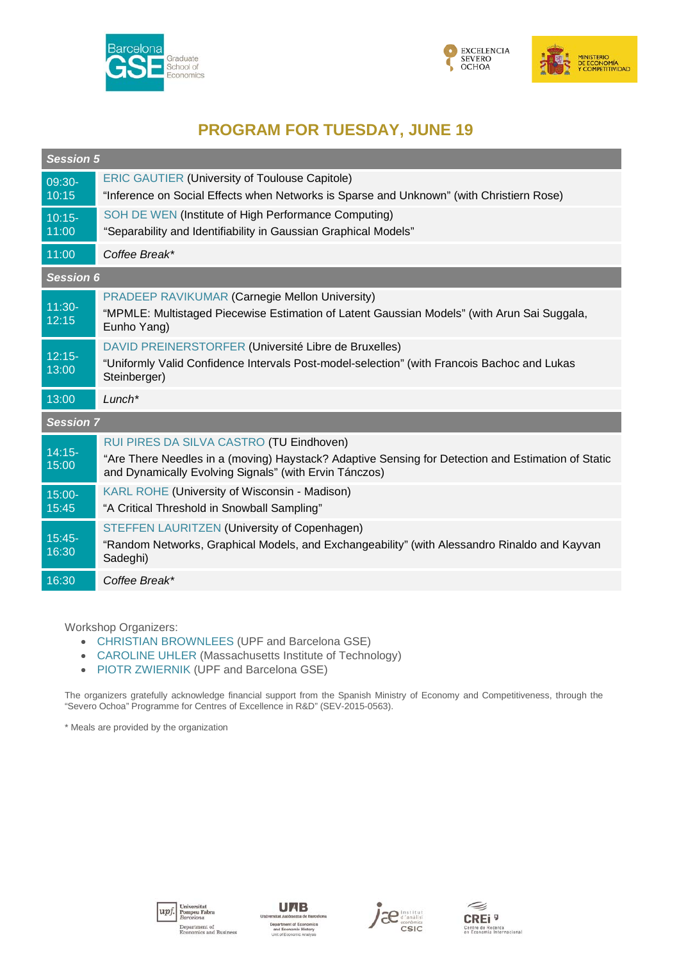





## **PROGRAM FOR TUESDAY, JUNE 19**

| <b>Session 5</b>   |                                                                                                                                                                                                          |  |
|--------------------|----------------------------------------------------------------------------------------------------------------------------------------------------------------------------------------------------------|--|
| 09:30-<br>10:15    | <b>ERIC GAUTIER (University of Toulouse Capitole)</b><br>"Inference on Social Effects when Networks is Sparse and Unknown" (with Christiern Rose)                                                        |  |
| $10:15 -$<br>11:00 | SOH DE WEN (Institute of High Performance Computing)<br>"Separability and Identifiability in Gaussian Graphical Models"                                                                                  |  |
| 11:00              | Coffee Break*                                                                                                                                                                                            |  |
| <b>Session 6</b>   |                                                                                                                                                                                                          |  |
| $11:30-$<br>12:15  | <b>PRADEEP RAVIKUMAR (Carnegie Mellon University)</b><br>"MPMLE: Multistaged Piecewise Estimation of Latent Gaussian Models" (with Arun Sai Suggala,<br>Eunho Yang)                                      |  |
| $12:15-$<br>13:00  | DAVID PREINERSTORFER (Université Libre de Bruxelles)<br>"Uniformly Valid Confidence Intervals Post-model-selection" (with Francois Bachoc and Lukas<br>Steinberger)                                      |  |
| 13:00              | $Lunch*$                                                                                                                                                                                                 |  |
| <b>Session 7</b>   |                                                                                                                                                                                                          |  |
| $14:15-$<br>15:00  | RUI PIRES DA SILVA CASTRO (TU Eindhoven)<br>"Are There Needles in a (moving) Haystack? Adaptive Sensing for Detection and Estimation of Static<br>and Dynamically Evolving Signals" (with Ervin Tánczos) |  |
| $15:00 -$<br>15:45 | <b>KARL ROHE (University of Wisconsin - Madison)</b><br>"A Critical Threshold in Snowball Sampling"                                                                                                      |  |
| $15:45-$<br>16:30  | STEFFEN LAURITZEN (University of Copenhagen)<br>"Random Networks, Graphical Models, and Exchangeability" (with Alessandro Rinaldo and Kayvan<br>Sadeghi)                                                 |  |
| 16:30              | Coffee Break*                                                                                                                                                                                            |  |

Workshop Organizers:

- CHRISTIAN BROWNLEES (UPF and Barcelona GSE)
- CAROLINE UHLER (Massachusetts Institute of Technology)
- PIOTR ZWIERNIK (UPF and Barcelona GSE)

The organizers gratefully acknowledge financial support from the Spanish Ministry of Economy and Competitiveness, through the "Severo Ochoa" Programme for Centres of Excellence in R&D" (SEV-2015-0563).

\* Meals are provided by the organization







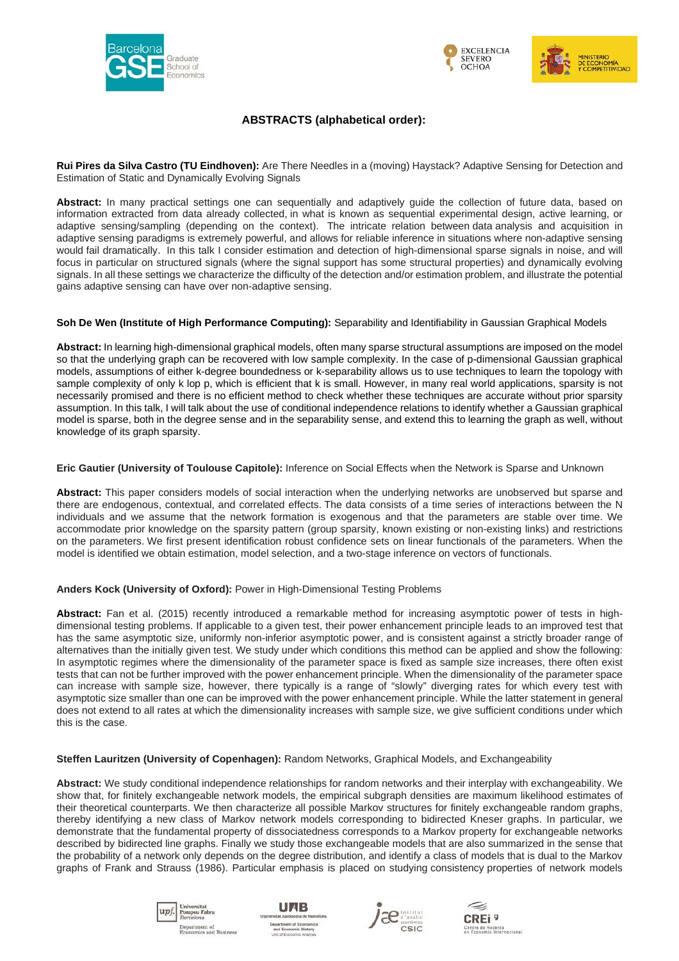





### **ABSTRACTS (alphabetical order):**

**Rui Pires da Silva Castro (TU Eindhoven):** Are There Needles in a (moving) Haystack? Adaptive Sensing for Detection and Estimation of Static and Dynamically Evolving Signals

**Abstract:** In many practical settings one can sequentially and adaptively guide the collection of future data, based on information extracted from data already collected, in what is known as sequential experimental design, active learning, or adaptive sensing/sampling (depending on the context). The intricate relation between data analysis and acquisition in adaptive sensing paradigms is extremely powerful, and allows for reliable inference in situations where non-adaptive sensing would fail dramatically. In this talk I consider estimation and detection of high-dimensional sparse signals in noise, and will focus in particular on structured signals (where the signal support has some structural properties) and dynamically evolving signals. In all these settings we characterize the difficulty of the detection and/or estimation problem, and illustrate the potential gains adaptive sensing can have over non-adaptive sensing.

#### **Soh De Wen (Institute of High Performance Computing):** Separability and Identifiability in Gaussian Graphical Models

**Abstract:** In learning high-dimensional graphical models, often many sparse structural assumptions are imposed on the model so that the underlying graph can be recovered with low sample complexity. In the case of p-dimensional Gaussian graphical models, assumptions of either k-degree boundedness or k-separability allows us to use techniques to learn the topology with sample complexity of only k lop p, which is efficient that k is small. However, in many real world applications, sparsity is not necessarily promised and there is no efficient method to check whether these techniques are accurate without prior sparsity assumption. In this talk, I will talk about the use of conditional independence relations to identify whether a Gaussian graphical model is sparse, both in the degree sense and in the separability sense, and extend this to learning the graph as well, without knowledge of its graph sparsity.

#### **Eric Gautier (University of Toulouse Capitole):** Inference on Social Effects when the Network is Sparse and Unknown

**Abstract:** This paper considers models of social interaction when the underlying networks are unobserved but sparse and there are endogenous, contextual, and correlated effects. The data consists of a time series of interactions between the N individuals and we assume that the network formation is exogenous and that the parameters are stable over time. We accommodate prior knowledge on the sparsity pattern (group sparsity, known existing or non-existing links) and restrictions on the parameters. We first present identification robust confidence sets on linear functionals of the parameters. When the model is identified we obtain estimation, model selection, and a two-stage inference on vectors of functionals.

### **Anders Kock (University of Oxford):** Power in High-Dimensional Testing Problems

**Abstract:** Fan et al. (2015) recently introduced a remarkable method for increasing asymptotic power of tests in highdimensional testing problems. If applicable to a given test, their power enhancement principle leads to an improved test that has the same asymptotic size, uniformly non-inferior asymptotic power, and is consistent against a strictly broader range of alternatives than the initially given test. We study under which conditions this method can be applied and show the following: In asymptotic regimes where the dimensionality of the parameter space is fixed as sample size increases, there often exist tests that can not be further improved with the power enhancement principle. When the dimensionality of the parameter space can increase with sample size, however, there typically is a range of "slowly" diverging rates for which every test with asymptotic size smaller than one can be improved with the power enhancement principle. While the latter statement in general does not extend to all rates at which the dimensionality increases with sample size, we give sufficient conditions under which this is the case.

### **Steffen Lauritzen (University of Copenhagen):** Random Networks, Graphical Models, and Exchangeability

**Abstract:** We study conditional independence relationships for random networks and their interplay with exchangeability. We show that, for finitely exchangeable network models, the empirical subgraph densities are maximum likelihood estimates of their theoretical counterparts. We then characterize all possible Markov structures for finitely exchangeable random graphs, thereby identifying a new class of Markov network models corresponding to bidirected Kneser graphs. In particular, we demonstrate that the fundamental property of dissociatedness corresponds to a Markov property for exchangeable networks described by bidirected line graphs. Finally we study those exchangeable models that are also summarized in the sense that the probability of a network only depends on the degree distribution, and identify a class of models that is dual to the Markov graphs of Frank and Strauss (1986). Particular emphasis is placed on studying consistency properties of network models







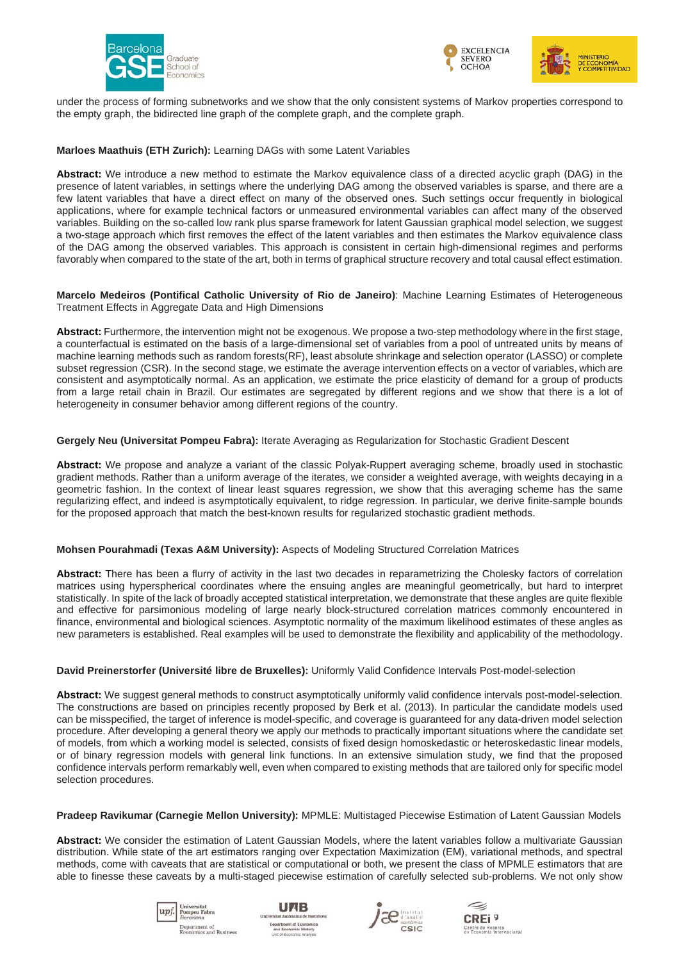





under the process of forming subnetworks and we show that the only consistent systems of Markov properties correspond to the empty graph, the bidirected line graph of the complete graph, and the complete graph.

**Marloes Maathuis (ETH Zurich):** Learning DAGs with some Latent Variables

**Abstract:** We introduce a new method to estimate the Markov equivalence class of a directed acyclic graph (DAG) in the presence of latent variables, in settings where the underlying DAG among the observed variables is sparse, and there are a few latent variables that have a direct effect on many of the observed ones. Such settings occur frequently in biological applications, where for example technical factors or unmeasured environmental variables can affect many of the observed variables. Building on the so-called low rank plus sparse framework for latent Gaussian graphical model selection, we suggest a two-stage approach which first removes the effect of the latent variables and then estimates the Markov equivalence class of the DAG among the observed variables. This approach is consistent in certain high-dimensional regimes and performs favorably when compared to the state of the art, both in terms of graphical structure recovery and total causal effect estimation.

**Marcelo Medeiros (Pontifical Catholic University of Rio de Janeiro)**: Machine Learning Estimates of Heterogeneous Treatment Effects in Aggregate Data and High Dimensions

**Abstract:** Furthermore, the intervention might not be exogenous. We propose a two-step methodology where in the first stage, a counterfactual is estimated on the basis of a large-dimensional set of variables from a pool of untreated units by means of machine learning methods such as random forests(RF), least absolute shrinkage and selection operator (LASSO) or complete subset regression (CSR). In the second stage, we estimate the average intervention effects on a vector of variables, which are consistent and asymptotically normal. As an application, we estimate the price elasticity of demand for a group of products from a large retail chain in Brazil. Our estimates are segregated by different regions and we show that there is a lot of heterogeneity in consumer behavior among different regions of the country.

#### **Gergely Neu (Universitat Pompeu Fabra):** Iterate Averaging as Regularization for Stochastic Gradient Descent

**Abstract:** We propose and analyze a variant of the classic Polyak-Ruppert averaging scheme, broadly used in stochastic gradient methods. Rather than a uniform average of the iterates, we consider a weighted average, with weights decaying in a geometric fashion. In the context of linear least squares regression, we show that this averaging scheme has the same regularizing effect, and indeed is asymptotically equivalent, to ridge regression. In particular, we derive finite-sample bounds for the proposed approach that match the best-known results for regularized stochastic gradient methods.

#### **Mohsen Pourahmadi (Texas A&M University):** Aspects of Modeling Structured Correlation Matrices

**Abstract:** There has been a flurry of activity in the last two decades in reparametrizing the Cholesky factors of correlation matrices using hyperspherical coordinates where the ensuing angles are meaningful geometrically, but hard to interpret statistically. In spite of the lack of broadly accepted statistical interpretation, we demonstrate that these angles are quite flexible and effective for parsimonious modeling of large nearly block-structured correlation matrices commonly encountered in finance, environmental and biological sciences. Asymptotic normality of the maximum likelihood estimates of these angles as new parameters is established. Real examples will be used to demonstrate the flexibility and applicability of the methodology.

#### **David Preinerstorfer (Université libre de Bruxelles):** Uniformly Valid Confidence Intervals Post-model-selection

**Abstract:** We suggest general methods to construct asymptotically uniformly valid confidence intervals post-model-selection. The constructions are based on principles recently proposed by Berk et al. (2013). In particular the candidate models used can be misspecified, the target of inference is model-specific, and coverage is guaranteed for any data-driven model selection procedure. After developing a general theory we apply our methods to practically important situations where the candidate set of models, from which a working model is selected, consists of fixed design homoskedastic or heteroskedastic linear models, or of binary regression models with general link functions. In an extensive simulation study, we find that the proposed confidence intervals perform remarkably well, even when compared to existing methods that are tailored only for specific model selection procedures.

**Pradeep Ravikumar (Carnegie Mellon University):** MPMLE: Multistaged Piecewise Estimation of Latent Gaussian Models

**Abstract:** We consider the estimation of Latent Gaussian Models, where the latent variables follow a multivariate Gaussian distribution. While state of the art estimators ranging over Expectation Maximization (EM), variational methods, and spectral methods, come with caveats that are statistical or computational or both, we present the class of MPMLE estimators that are able to finesse these caveats by a multi-staged piecewise estimation of carefully selected sub-problems. We not only show